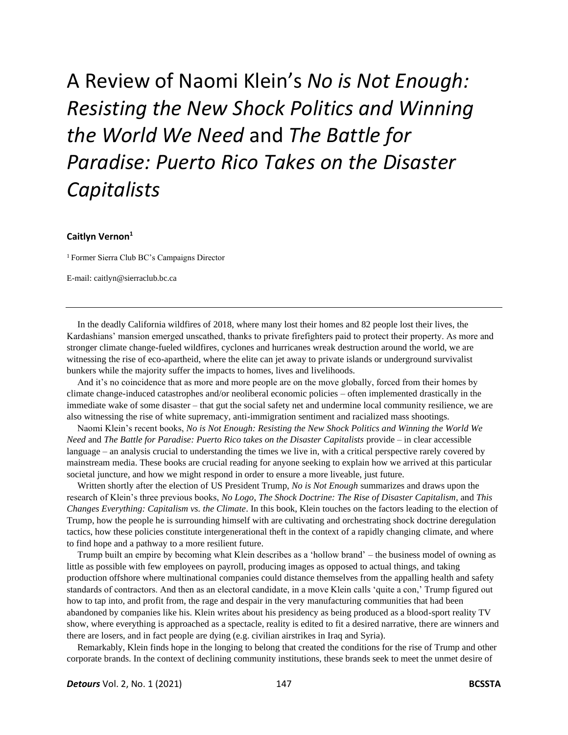A Review of Naomi Klein's *No is Not Enough: Resisting the New Shock Politics and Winning the World We Need* and *The Battle for Paradise: Puerto Rico Takes on the Disaster Capitalists* 

## **Caitlyn Vernon<sup>1</sup>**

<sup>1</sup>Former Sierra Club BC's Campaigns Director

E-mail: caitlyn@sierraclub.bc.ca

In the deadly California wildfires of 2018, where many lost their homes and 82 people lost their lives, the Kardashians' mansion emerged unscathed, thanks to private firefighters paid to protect their property. As more and stronger climate change-fueled wildfires, cyclones and hurricanes wreak destruction around the world, we are witnessing the rise of eco-apartheid, where the elite can jet away to private islands or underground survivalist bunkers while the majority suffer the impacts to homes, lives and livelihoods.

And it's no coincidence that as more and more people are on the move globally, forced from their homes by climate change-induced catastrophes and/or neoliberal economic policies – often implemented drastically in the immediate wake of some disaster – that gut the social safety net and undermine local community resilience, we are also witnessing the rise of white supremacy, anti-immigration sentiment and racialized mass shootings.

Naomi Klein's recent books, *No is Not Enough: Resisting the New Shock Politics and Winning the World We Need* and *The Battle for Paradise: Puerto Rico takes on the Disaster Capitalists* provide – in clear accessible language – an analysis crucial to understanding the times we live in, with a critical perspective rarely covered by mainstream media. These books are crucial reading for anyone seeking to explain how we arrived at this particular societal juncture, and how we might respond in order to ensure a more liveable, just future.

Written shortly after the election of US President Trump, *No is Not Enough* summarizes and draws upon the research of Klein's three previous books, *No Logo*, *The Shock Doctrine: The Rise of Disaster Capitalism*, and *This Changes Everything: Capitalism vs. the Climate*. In this book, Klein touches on the factors leading to the election of Trump, how the people he is surrounding himself with are cultivating and orchestrating shock doctrine deregulation tactics, how these policies constitute intergenerational theft in the context of a rapidly changing climate, and where to find hope and a pathway to a more resilient future.

Trump built an empire by becoming what Klein describes as a 'hollow brand' – the business model of owning as little as possible with few employees on payroll, producing images as opposed to actual things, and taking production offshore where multinational companies could distance themselves from the appalling health and safety standards of contractors. And then as an electoral candidate, in a move Klein calls 'quite a con,' Trump figured out how to tap into, and profit from, the rage and despair in the very manufacturing communities that had been abandoned by companies like his. Klein writes about his presidency as being produced as a blood-sport reality TV show, where everything is approached as a spectacle, reality is edited to fit a desired narrative, there are winners and there are losers, and in fact people are dying (e.g. civilian airstrikes in Iraq and Syria).

Remarkably, Klein finds hope in the longing to belong that created the conditions for the rise of Trump and other corporate brands. In the context of declining community institutions, these brands seek to meet the unmet desire of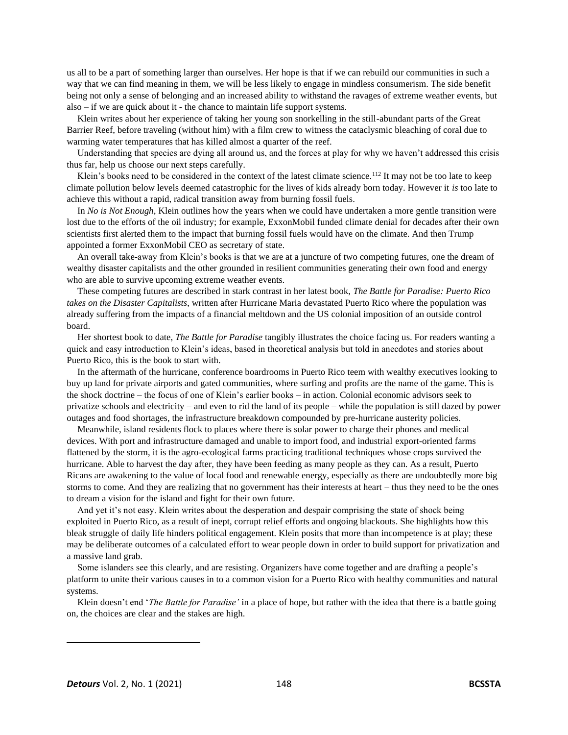us all to be a part of something larger than ourselves. Her hope is that if we can rebuild our communities in such a way that we can find meaning in them, we will be less likely to engage in mindless consumerism. The side benefit being not only a sense of belonging and an increased ability to withstand the ravages of extreme weather events, but also – if we are quick about it - the chance to maintain life support systems.

Klein writes about her experience of taking her young son snorkelling in the still-abundant parts of the Great Barrier Reef, before traveling (without him) with a film crew to witness the cataclysmic bleaching of coral due to warming water temperatures that has killed almost a quarter of the reef.

Understanding that species are dying all around us, and the forces at play for why we haven't addressed this crisis thus far, help us choose our next steps carefully.

Klein's books need to be considered in the context of the latest climate science.<sup>112</sup> It may not be too late to keep climate pollution below levels deemed catastrophic for the lives of kids already born today. However it *is* too late to achieve this without a rapid, radical transition away from burning fossil fuels.

In *No is Not Enough*, Klein outlines how the years when we could have undertaken a more gentle transition were lost due to the efforts of the oil industry; for example, ExxonMobil funded climate denial for decades after their own scientists first alerted them to the impact that burning fossil fuels would have on the climate. And then Trump appointed a former ExxonMobil CEO as secretary of state.

An overall take-away from Klein's books is that we are at a juncture of two competing futures, one the dream of wealthy disaster capitalists and the other grounded in resilient communities generating their own food and energy who are able to survive upcoming extreme weather events.

These competing futures are described in stark contrast in her latest book, *The Battle for Paradise: Puerto Rico takes on the Disaster Capitalists*, written after Hurricane Maria devastated Puerto Rico where the population was already suffering from the impacts of a financial meltdown and the US colonial imposition of an outside control board.

Her shortest book to date, *The Battle for Paradise* tangibly illustrates the choice facing us. For readers wanting a quick and easy introduction to Klein's ideas, based in theoretical analysis but told in anecdotes and stories about Puerto Rico, this is the book to start with.

In the aftermath of the hurricane, conference boardrooms in Puerto Rico teem with wealthy executives looking to buy up land for private airports and gated communities, where surfing and profits are the name of the game. This is the shock doctrine – the focus of one of Klein's earlier books – in action. Colonial economic advisors seek to privatize schools and electricity – and even to rid the land of its people – while the population is still dazed by power outages and food shortages, the infrastructure breakdown compounded by pre-hurricane austerity policies.

Meanwhile, island residents flock to places where there is solar power to charge their phones and medical devices. With port and infrastructure damaged and unable to import food, and industrial export-oriented farms flattened by the storm, it is the agro-ecological farms practicing traditional techniques whose crops survived the hurricane. Able to harvest the day after, they have been feeding as many people as they can. As a result, Puerto Ricans are awakening to the value of local food and renewable energy, especially as there are undoubtedly more big storms to come. And they are realizing that no government has their interests at heart – thus they need to be the ones to dream a vision for the island and fight for their own future.

And yet it's not easy. Klein writes about the desperation and despair comprising the state of shock being exploited in Puerto Rico, as a result of inept, corrupt relief efforts and ongoing blackouts. She highlights how this bleak struggle of daily life hinders political engagement. Klein posits that more than incompetence is at play; these may be deliberate outcomes of a calculated effort to wear people down in order to build support for privatization and a massive land grab.

Some islanders see this clearly, and are resisting. Organizers have come together and are drafting a people's platform to unite their various causes in to a common vision for a Puerto Rico with healthy communities and natural systems.

Klein doesn't end '*The Battle for Paradise'* in a place of hope, but rather with the idea that there is a battle going on, the choices are clear and the stakes are high.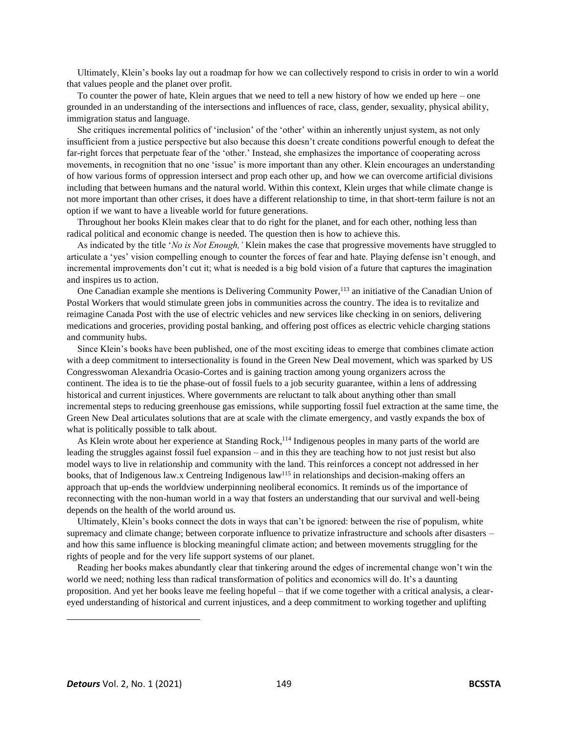Ultimately, Klein's books lay out a roadmap for how we can collectively respond to crisis in order to win a world that values people and the planet over profit.

To counter the power of hate, Klein argues that we need to tell a new history of how we ended up here – one grounded in an understanding of the intersections and influences of race, class, gender, sexuality, physical ability, immigration status and language.

She critiques incremental politics of 'inclusion' of the 'other' within an inherently unjust system, as not only insufficient from a justice perspective but also because this doesn't create conditions powerful enough to defeat the far-right forces that perpetuate fear of the 'other.' Instead, she emphasizes the importance of cooperating across movements, in recognition that no one 'issue' is more important than any other. Klein encourages an understanding of how various forms of oppression intersect and prop each other up, and how we can overcome artificial divisions including that between humans and the natural world. Within this context, Klein urges that while climate change is not more important than other crises, it does have a different relationship to time, in that short-term failure is not an option if we want to have a liveable world for future generations.

Throughout her books Klein makes clear that to do right for the planet, and for each other, nothing less than radical political and economic change is needed. The question then is how to achieve this.

As indicated by the title '*No is Not Enough,'* Klein makes the case that progressive movements have struggled to articulate a 'yes' vision compelling enough to counter the forces of fear and hate. Playing defense isn't enough, and incremental improvements don't cut it; what is needed is a big bold vision of a future that captures the imagination and inspires us to action.

One Canadian example she mentions is Delivering Community Power,<sup>113</sup> an initiative of the Canadian Union of Postal Workers that would stimulate green jobs in communities across the country. The idea is to revitalize and reimagine Canada Post with the use of electric vehicles and new services like checking in on seniors, delivering medications and groceries, providing postal banking, and offering post offices as electric vehicle charging stations and community hubs.

Since Klein's books have been published, one of the most exciting ideas to emerge that combines climate action with a deep commitment to intersectionality is found in the Green New Deal movement, which was sparked by US Congresswoman Alexandria Ocasio-Cortes and is gaining traction among young organizers across the continent. The idea is to tie the phase-out of fossil fuels to a job security guarantee, within a lens of addressing historical and current injustices. Where governments are reluctant to talk about anything other than small incremental steps to reducing greenhouse gas emissions, while supporting fossil fuel extraction at the same time, the Green New Deal articulates solutions that are at scale with the climate emergency, and vastly expands the box of what is politically possible to talk about.

As Klein wrote about her experience at Standing Rock,<sup>114</sup> Indigenous peoples in many parts of the world are leading the struggles against fossil fuel expansion – and in this they are teaching how to not just resist but also model ways to live in relationship and community with the land. This reinforces a concept not addressed in her books, that of Indigenous law.x Centreing Indigenous law<sup>115</sup> in relationships and decision-making offers an approach that up-ends the worldview underpinning neoliberal economics. It reminds us of the importance of reconnecting with the non-human world in a way that fosters an understanding that our survival and well-being depends on the health of the world around us.

Ultimately, Klein's books connect the dots in ways that can't be ignored: between the rise of populism, white supremacy and climate change; between corporate influence to privatize infrastructure and schools after disasters – and how this same influence is blocking meaningful climate action; and between movements struggling for the rights of people and for the very life support systems of our planet.

Reading her books makes abundantly clear that tinkering around the edges of incremental change won't win the world we need; nothing less than radical transformation of politics and economics will do. It's a daunting proposition. And yet her books leave me feeling hopeful – that if we come together with a critical analysis, a cleareyed understanding of historical and current injustices, and a deep commitment to working together and uplifting